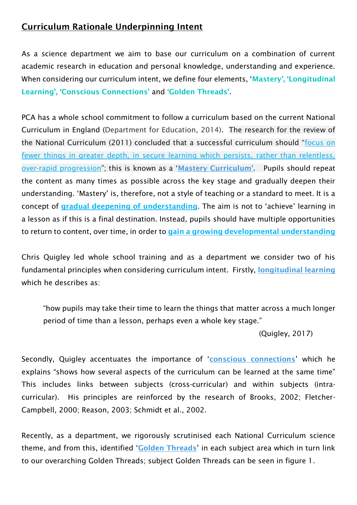## Curriculum Rationale Underpinning Intent

As a science department we aim to base our curriculum on a combination of current academic research in education and personal knowledge, understanding and experience. When considering our curriculum intent, we define four elements, 'Mastery', 'Longitudinal Learning', 'Conscious Connections' and 'Golden Threads'.

PCA has a whole school commitment to follow a curriculum based on the current National Curriculum in England (Department for Education, 2014). The research for the review of the National Curriculum (2011) concluded that a successful curriculum should "focus on fewer things in greater depth, in secure learning which persists, rather than relentless, over-rapid progression"; this is known as a 'Mastery Curriculum'. Pupils should repeat the content as many times as possible across the key stage and gradually deepen their understanding. 'Mastery' is, therefore, not a style of teaching or a standard to meet. It is a concept of gradual deepening of understanding. The aim is not to 'achieve' learning in a lesson as if this is a final destination. Instead, pupils should have multiple opportunities to return to content, over time, in order to gain a growing developmental understanding

Chris Quigley led whole school training and as a department we consider two of his fundamental principles when considering curriculum intent. Firstly, longitudinal learning which he describes as:

"how pupils may take their time to learn the things that matter across a much longer period of time than a lesson, perhaps even a whole key stage."

(Quigley, 2017)

Secondly, Quigley accentuates the importance of 'conscious connections' which he explains "shows how several aspects of the curriculum can be learned at the same time" This includes links between subjects (cross-curricular) and within subjects (intracurricular). His principles are reinforced by the research of Brooks, 2002; Fletcher-Campbell, 2000; Reason, 2003; Schmidt et al., 2002.

Recently, as a department, we rigorously scrutinised each National Curriculum science theme, and from this, identified 'Golden Threads' in each subject area which in turn link to our overarching Golden Threads; subject Golden Threads can be seen in figure 1.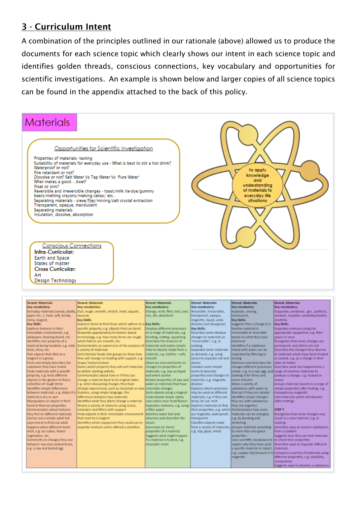## 3 - Curriculum Intent

A combination of the principles outlined in our rationale (above) allowed us to produce the documents for each science topic which clearly shows our intent in each science topic and identifies golden threads, conscious connections, key vocabulary and opportunities for scientific investigations. An example is shown below and larger copies of all science topics can be found in the appendix attached to the back of this policy.



| Key vocabulary:                    | Key vocabulary:                                                                 | Key vocabulary:                   | Key vocabulary:              | <b>Key vocabulary</b>                                   | Key vocabulary:                                                      |
|------------------------------------|---------------------------------------------------------------------------------|-----------------------------------|------------------------------|---------------------------------------------------------|----------------------------------------------------------------------|
|                                    | Everyday materials (wood, plastic, Dull, rough, smooth, stretch, twist, squash, | Change, melt, filter, boil, cool, | Reversible, irreversible,    | Separate, sleving,                                      | Evaporate, condense, gas, particles,                                 |
| paper etc), hard, soft, bendy,     | squeeze,                                                                        | mix, stir, absorbent              | transparent, opaque,         | translucent.                                            | conduct, insulator, solubility/soluble,                              |
| shiny, magnet,                     | <b>Key Skills:</b>                                                              |                                   | magnetic, liquid, solid,     | <b>Key Skills:</b>                                      | elasticity                                                           |
| <b>Key Skills:</b>                 | Explores items to find those which adhere to a Key Skills:                      |                                   | dissolve (not disappear)     | Suggests that a change to a                             | <b>Key Skills:</b>                                                   |
| Explores textures in their         | specific property, e.g. objects that can bend                                   | Employs different processes       | <b>Key Skills:</b>           | familiar material is                                    | Separates mixtures using the                                         |
| immediate environment, e.g.        | Responds appropriately to texture based                                         | on a range of materials, e.g.     | Describes some obvious       | irreversible or reversible                              | appropriate equipment, e.g. filter                                   |
| wallpaper, draining board, etc.    | terminology, e.g. how many items are rough,                                     | bending, cutting, squashing       | changes to materials as      | based on what they have                                 | paper or sieve                                                       |
| Identifies one property of a       | which fabrics are smooth, etc.                                                  | Describes the textures of         | "irreversible", e.g. in      | observed                                                | Recognises that some changes are                                     |
| material being handled, e.g. cold, | Demonstrates an awareness of the purpose of imaterials and makes simple         |                                   | cooking                      | Identifies if a substance                               | permanent, and others are not                                        |
| hard, shiny, etc.                  | a variety of materials                                                          | links to objects made from a      | Separates some materials     | mixed with water can be                                 | Describes the changes they observe                                   |
| Puts objects that stick to a       | Sorts familiar foods into groups to show how                                    | material, e.g. clothes - soft,    | as directed, e.g. using      | separated by filtering or                               | to materials which have been heated                                  |
| magnet in a group                  | they will change on heating with support, e.g.                                  | smooth                            | sieves to separate soil and  | sleving                                                 | or cooled, e.g. as a change in their                                 |
| Feels and simply describes the     | shape/ texture/colour                                                           | Observes and comments on          | stones                       | Observes and describes the                              | state of matter                                                      |
| substance they have mixed          | States which property they will sort materials                                  | changes to properties of          | Includes some simple         | changes different processes                             | Describes what has happened to a                                     |
| Finds materials with a specific    | by before starting activity                                                     | materials, e.g. wax as liquid     | terms to describe            |                                                         | create, e.g. in a raw egg, and range of common materials to          |
| property, e.g. feels different     | Communicates about how or if they can                                           | and when cooled                   | properties and changes to    | cooking it for three and                                | produce a change, e.g. heated or                                     |
| objects in the garden to find a    | change a material back to its original state,                                   | Relates properties of wax and     | materials, e.g. magnetic,    | seven minutes                                           | mbred                                                                |
| collection of rough items          | e.g. when discussing changes they have                                          | water as materials that have      | dissolve                     | Mixes a variety of                                      | Groups materials based on a range of                                 |
| Identifies simple differences      | already experienced, such as chocolate or wax reversible changes.               |                                   | Explores which processes     | substances with water to                                | simple properties after testing, e.g.                                |
|                                    | between materials, e.g. states if a Explains, using simple language, the        | Sorts objects using a magnet      | may be used on different     | find out if they are soluble.                           | transparency magnetic                                                |
| material is dry or wet             | differences between two materials                                               | Understands simple safety         | materials, e.g. if they can  | Identifies simple changes                               | Lists materials which will dissolve                                  |
| Manipulates an object in their     | Identifies what they did to change a material                                   | rules when near heat/flames       | bend, be cut, melt           | they see with substances                                | (after testing)                                                      |
| hand to find out properties        | Strains a variety of mixtures using sieves,                                     | Separates mixtures, e.g. using    | Explores materials to find   | they mix together                                       |                                                                      |
| Communicates about textures        | colanders and filters with support                                              | a filter paper                    | their properties, e.g. which | Demonstrates how some                                   | STEP <sub>7</sub>                                                    |
| they feel on different materials   | Finds objects in their immediate environment                                    | Watches water boil and            | are magnetic, waterproof,    | materials can be changed.                               | Recognises that some changes may                                     |
| Carries out a simple adult led     | that react to a magnet                                                          | observes and describes the        | transparent                  | e.g. by bending and                                     | result in a new material, e.g. in                                    |
| experiment to find out what        | Identifies which equipment they could use to                                    | steam                             | Classifies objects made      | stretching                                              | cooking                                                              |
| happens when different items       | separate mixtures when offered a selection                                      | Gives two (or more)               | from a variety of materials. | Groups materials according                              | Describes ways to recover substances                                 |
| melt, e.g. ice cubes, frozen       |                                                                                 | properties of a material          | e.g. clay, glass, metal      | to more than one given.                                 | from a solution                                                      |
| vegetables, etc.                   |                                                                                 | Suggests what might happen        |                              | properties                                              | Suggests how they can test materials                                 |
| Comments on changes they see       |                                                                                 | If a material is heated, e.g.     |                              | Uses scientific vocabulary to to check their properties |                                                                      |
| between raw and cooked items.      |                                                                                 | chocolate melts                   |                              |                                                         | explain why they have used Describes ways to separate different      |
| e.g. a raw and boiled egg          |                                                                                 |                                   |                              | a specific material or object, materials                |                                                                      |
|                                    |                                                                                 |                                   |                              |                                                         | e.g. a paper dip because it is Compares a variety of materials using |
|                                    |                                                                                 |                                   |                              | magnetic                                                | different properties, e.g. solubility,                               |
|                                    |                                                                                 |                                   |                              |                                                         | conductivity                                                         |
|                                    |                                                                                 |                                   |                              |                                                         | Suggests ways to dissolve a substance                                |
|                                    |                                                                                 |                                   |                              |                                                         |                                                                      |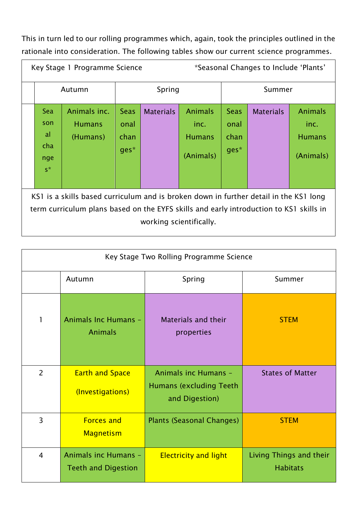This in turn led to our rolling programmes which, again, took the principles outlined in the rationale into consideration. The following tables show our current science programmes.

|                                                                                                                                                                                                            | <i>*Seasonal Changes to Include 'Plants'</i><br>Key Stage 1 Programme Science |                                           |                                     |                  |                                                      |                                       |                  |                                                      |
|------------------------------------------------------------------------------------------------------------------------------------------------------------------------------------------------------------|-------------------------------------------------------------------------------|-------------------------------------------|-------------------------------------|------------------|------------------------------------------------------|---------------------------------------|------------------|------------------------------------------------------|
|                                                                                                                                                                                                            | Autumn                                                                        |                                           | Spring                              |                  | Summer                                               |                                       |                  |                                                      |
|                                                                                                                                                                                                            | Sea<br>son<br>al<br>cha<br>nge<br>$S^*$                                       | Animals inc.<br><b>Humans</b><br>(Humans) | <b>Seas</b><br>onal<br>chan<br>ges* | <b>Materials</b> | <b>Animals</b><br>inc.<br><b>Humans</b><br>(Animals) | <b>Seas</b><br>onal<br>chan<br>$ges*$ | <b>Materials</b> | <b>Animals</b><br>inc.<br><b>Humans</b><br>(Animals) |
| KS1 is a skills based curriculum and is broken down in further detail in the KS1 long<br>term curriculum plans based on the EYFS skills and early introduction to KS1 skills in<br>working scientifically. |                                                                               |                                           |                                     |                  |                                                      |                                       |                  |                                                      |

| Key Stage Two Rolling Programme Science |                                                    |                                                                           |                                            |  |
|-----------------------------------------|----------------------------------------------------|---------------------------------------------------------------------------|--------------------------------------------|--|
|                                         | Autumn                                             | Spring                                                                    | Summer                                     |  |
|                                         | Animals Inc Humans -<br><b>Animals</b>             | Materials and their<br>properties                                         | <b>STEM</b>                                |  |
| $\overline{2}$                          | <b>Earth and Space</b><br>(Investigations)         | Animals inc Humans -<br><b>Humans (excluding Teeth)</b><br>and Digestion) | <b>States of Matter</b>                    |  |
| $\overline{3}$                          | <b>Forces and</b><br><b>Magnetism</b>              | <b>Plants (Seasonal Changes)</b>                                          | <b>STEM</b>                                |  |
| $\overline{4}$                          | Animals inc Humans -<br><b>Teeth and Digestion</b> | <b>Electricity and light</b>                                              | Living Things and their<br><b>Habitats</b> |  |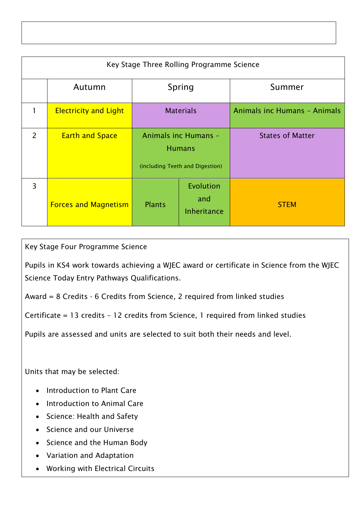| Key Stage Three Rolling Programme Science |                              |                                                                          |                                        |                                     |  |
|-------------------------------------------|------------------------------|--------------------------------------------------------------------------|----------------------------------------|-------------------------------------|--|
|                                           | Autumn                       | Spring                                                                   |                                        | Summer                              |  |
| 1                                         | <b>Electricity and Light</b> | <b>Materials</b>                                                         |                                        | <b>Animals inc Humans - Animals</b> |  |
| 2                                         | <b>Earth and Space</b>       | Animals inc Humans -<br><b>Humans</b><br>(including Teeth and Digestion) |                                        | <b>States of Matter</b>             |  |
| $\overline{3}$                            | <b>Forces and Magnetism</b>  | <b>Plants</b>                                                            | Evolution<br>and<br><b>Inheritance</b> | <b>STEM</b>                         |  |

Key Stage Four Programme Science

Pupils in KS4 work towards achieving a WJEC award or certificate in Science from the WJEC Science Today Entry Pathways Qualifications.

Award = 8 Credits - 6 Credits from Science, 2 required from linked studies

Certificate = 13 credits – 12 credits from Science, 1 required from linked studies

Pupils are assessed and units are selected to suit both their needs and level.

Units that may be selected:

- Introduction to Plant Care
- Introduction to Animal Care
- Science: Health and Safety
- Science and our Universe
- Science and the Human Body
- Variation and Adaptation
- Working with Electrical Circuits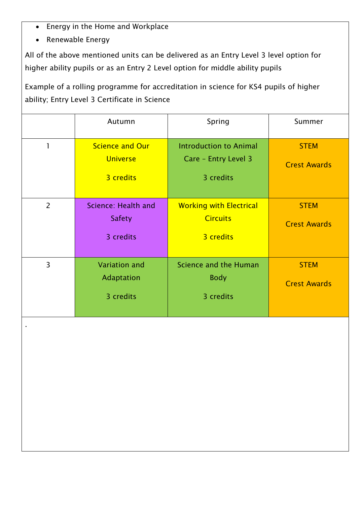- Energy in the Home and Workplace
- Renewable Energy

All of the above mentioned units can be delivered as an Entry Level 3 level option for higher ability pupils or as an Entry 2 Level option for middle ability pupils

Example of a rolling programme for accreditation in science for KS4 pupils of higher ability; Entry Level 3 Certificate in Science

|                | Autumn                                                 | Spring                                                             | Summer                             |
|----------------|--------------------------------------------------------|--------------------------------------------------------------------|------------------------------------|
|                | <b>Science and Our</b><br><b>Universe</b><br>3 credits | <b>Introduction to Animal</b><br>Care - Entry Level 3<br>3 credits | <b>STEM</b><br><b>Crest Awards</b> |
| $\overline{2}$ | Science: Health and<br><b>Safety</b><br>3 credits      | <b>Working with Electrical</b><br><b>Circuits</b><br>3 credits     | <b>STEM</b><br><b>Crest Awards</b> |
| $\overline{3}$ | <b>Variation</b> and<br>Adaptation<br>3 credits        | Science and the Human<br><b>Body</b><br>3 credits                  | <b>STEM</b><br><b>Crest Awards</b> |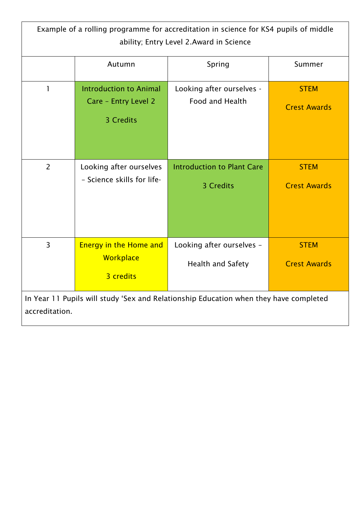| Example of a rolling programme for accreditation in science for KS4 pupils of middle<br>ability; Entry Level 2.Award in Science |                                                                    |                                                       |                                    |  |
|---------------------------------------------------------------------------------------------------------------------------------|--------------------------------------------------------------------|-------------------------------------------------------|------------------------------------|--|
|                                                                                                                                 | Autumn                                                             | Spring                                                | Summer                             |  |
| 1                                                                                                                               | <b>Introduction to Animal</b><br>Care - Entry Level 2<br>3 Credits | Looking after ourselves -<br>Food and Health          | <b>STEM</b><br><b>Crest Awards</b> |  |
| $\overline{2}$                                                                                                                  | Looking after ourselves<br>- Science skills for life-              | <b>Introduction to Plant Care</b><br>3 Credits        | <b>STEM</b><br><b>Crest Awards</b> |  |
| $\overline{3}$                                                                                                                  | <b>Energy in the Home and</b><br>Workplace<br>3 credits            | Looking after ourselves -<br><b>Health and Safety</b> | <b>STEM</b><br><b>Crest Awards</b> |  |
| In Year 11 Pupils will study 'Sex and Relationship Education when they have completed<br>accreditation.                         |                                                                    |                                                       |                                    |  |